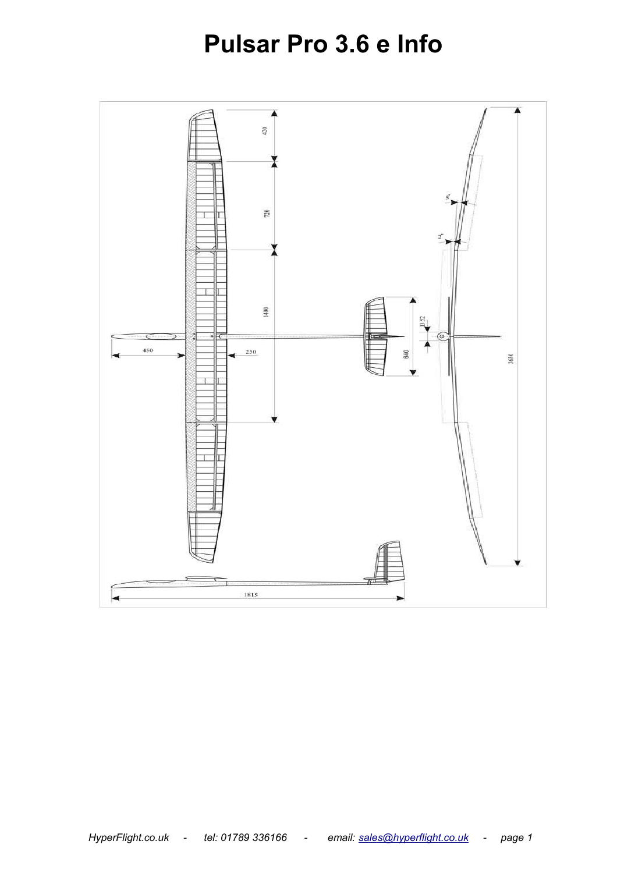# **Pulsar Pro 3.6 e Info**

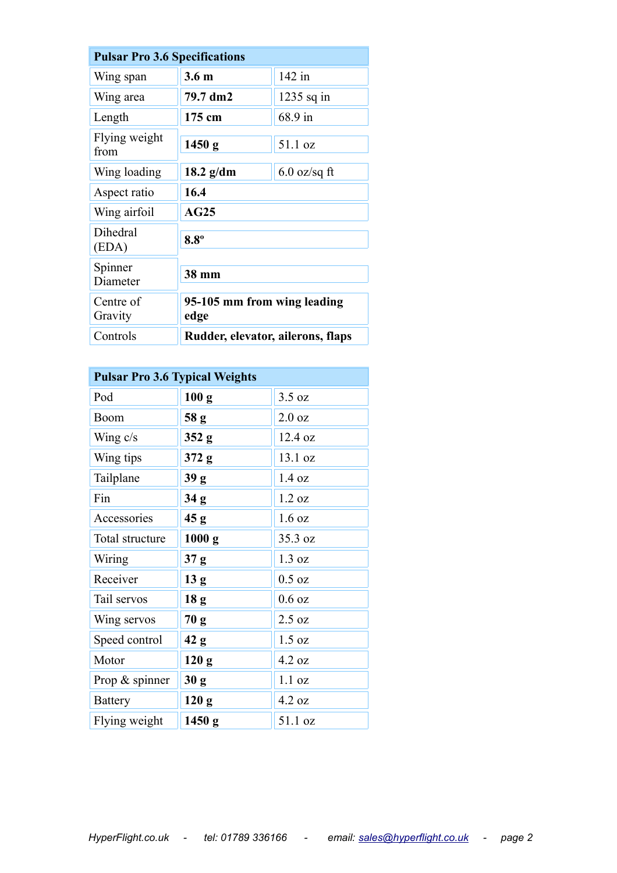| <b>Pulsar Pro 3.6 Specifications</b> |                                     |                |  |
|--------------------------------------|-------------------------------------|----------------|--|
| Wing span                            | 3.6 <sub>m</sub>                    | 142 in         |  |
| Wing area                            | 79.7 dm2                            | $1235$ sq in   |  |
| Length                               | 175 cm                              | 68.9 in        |  |
| Flying weight<br>from                | 1450 g                              | 51.1 oz        |  |
| Wing loading                         | $18.2$ g/dm                         | $6.0$ oz/sq ft |  |
| Aspect ratio                         | 16.4                                |                |  |
| Wing airfoil                         | AG25                                |                |  |
| Dihedral<br>(EDA)                    | $8.8^\circ$                         |                |  |
| Spinner<br>Diameter                  | 38 mm                               |                |  |
| Centre of<br>Gravity                 | 95-105 mm from wing leading<br>edge |                |  |
| Controls                             | Rudder, elevator, ailerons, flaps   |                |  |

| <b>Pulsar Pro 3.6 Typical Weights</b> |                  |                  |
|---------------------------------------|------------------|------------------|
| Pod                                   | 100 <sub>g</sub> | 3.5 oz           |
| Boom                                  | 58 g             | $2.0\text{ oz}$  |
| Wing $c/s$                            | 352 <sub>g</sub> | 12.4 oz          |
| Wing tips                             | 372 g            | 13.1 oz          |
| Tailplane                             | 39 g             | 1.4 oz           |
| Fin                                   | 34 <sub>g</sub>  | $1.2 \text{ oz}$ |
| Accessories                           | 45 g             | 1.6 oz           |
| Total structure                       | 1000 g           | 35.3 oz          |
| Wiring                                | 37 g             | 1.3 oz           |
| Receiver                              | 13 <sub>g</sub>  | $0.5$ oz         |
| Tail servos                           | 18 <sub>g</sub>  | $0.6$ oz         |
| Wing servos                           | 70 g             | 2.5 oz           |
| Speed control                         | 42 g             | 1.5 oz           |
| Motor                                 | 120 <sub>g</sub> | 4.2 oz           |
| Prop $\&$ spinner                     | 30 <sub>g</sub>  | 1.1 oz           |
| <b>Battery</b>                        | 120 <sub>g</sub> | 4.2 oz           |
| Flying weight                         | 1450 g           | 51.1 oz          |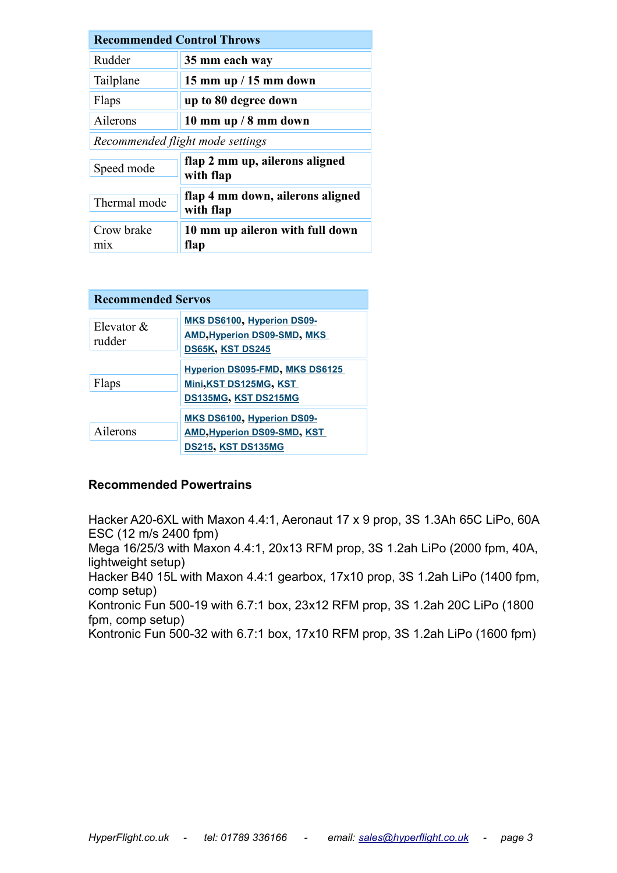| <b>Recommended Control Throws</b> |                                               |  |
|-----------------------------------|-----------------------------------------------|--|
| Rudder                            | 35 mm each way                                |  |
| Tailplane                         | 15 mm up $/$ 15 mm down                       |  |
| Flaps                             | up to 80 degree down                          |  |
| Ailerons                          | 10 mm up $/$ 8 mm down                        |  |
| Recommended flight mode settings  |                                               |  |
| Speed mode                        | flap 2 mm up, ailerons aligned<br>with flap   |  |
| Thermal mode                      | flap 4 mm down, ailerons aligned<br>with flap |  |
| Crow brake<br>m <sub>1</sub> x    | 10 mm up aileron with full down<br>flap       |  |

| <b>Recommended Servos</b> |                                                                                               |  |
|---------------------------|-----------------------------------------------------------------------------------------------|--|
| Elevator $&$<br>rudder    | MKS DS6100, Hyperion DS09-<br><b>AMD, Hyperion DS09-SMD, MKS</b><br>DS65K, KST DS245          |  |
| Flaps                     | <b>Hyperion DS095-FMD, MKS DS6125</b><br>Mini, KST DS125MG, KST<br>DS135MG, KST DS215MG       |  |
| Ailerons                  | MKS DS6100, Hyperion DS09-<br><b>AMD, Hyperion DS09-SMD, KST</b><br><b>DS215, KST DS135MG</b> |  |

#### **Recommended Powertrains**

Hacker A20-6XL with Maxon 4.4:1, Aeronaut 17 x 9 prop, 3S 1.3Ah 65C LiPo, 60A ESC (12 m/s 2400 fpm)

Mega 16/25/3 with Maxon 4.4:1, 20x13 RFM prop, 3S 1.2ah LiPo (2000 fpm, 40A, lightweight setup)

Hacker B40 15L with Maxon 4.4:1 gearbox, 17x10 prop, 3S 1.2ah LiPo (1400 fpm, comp setup)

Kontronic Fun 500-19 with 6.7:1 box, 23x12 RFM prop, 3S 1.2ah 20C LiPo (1800 fpm, comp setup)

Kontronic Fun 500-32 with 6.7:1 box, 17x10 RFM prop, 3S 1.2ah LiPo (1600 fpm)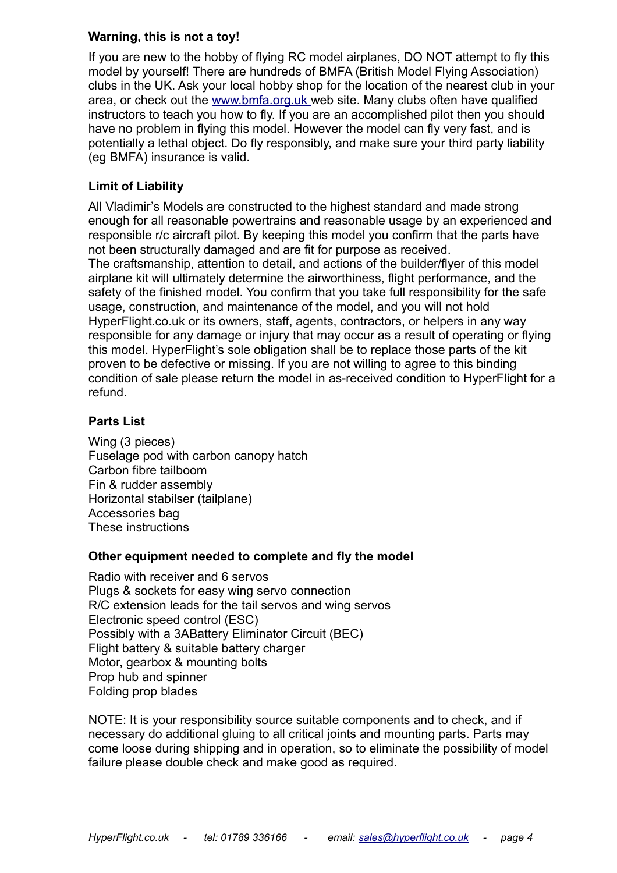#### **Warning, this is not a toy!**

If you are new to the hobby of flying RC model airplanes, DO NOT attempt to fly this model by yourself! There are hundreds of BMFA (British Model Flying Association) clubs in the UK. Ask your local hobby shop for the location of the nearest club in your area, or check out the [www.bmfa.org.uk](http://www.bmfa.org.uk/) web site. Many clubs often have qualified instructors to teach you how to fly. If you are an accomplished pilot then you should have no problem in flying this model. However the model can fly very fast, and is potentially a lethal object. Do fly responsibly, and make sure your third party liability (eg BMFA) insurance is valid.

## **Limit of Liability**

All Vladimir's Models are constructed to the highest standard and made strong enough for all reasonable powertrains and reasonable usage by an experienced and responsible r/c aircraft pilot. By keeping this model you confirm that the parts have not been structurally damaged and are fit for purpose as received. The craftsmanship, attention to detail, and actions of the builder/flyer of this model airplane kit will ultimately determine the airworthiness, flight performance, and the safety of the finished model. You confirm that you take full responsibility for the safe usage, construction, and maintenance of the model, and you will not hold HyperFlight.co.uk or its owners, staff, agents, contractors, or helpers in any way responsible for any damage or injury that may occur as a result of operating or flying this model. HyperFlight's sole obligation shall be to replace those parts of the kit proven to be defective or missing. If you are not willing to agree to this binding condition of sale please return the model in as-received condition to HyperFlight for a refund.

## **Parts List**

Wing (3 pieces) Fuselage pod with carbon canopy hatch Carbon fibre tailboom Fin & rudder assembly Horizontal stabilser (tailplane) Accessories bag These instructions

#### **Other equipment needed to complete and fly the model**

Radio with receiver and 6 servos Plugs & sockets for easy wing servo connection R/C extension leads for the tail servos and wing servos Electronic speed control (ESC) Possibly with a 3ABattery Eliminator Circuit (BEC) Flight battery & suitable battery charger Motor, gearbox & mounting bolts Prop hub and spinner Folding prop blades

NOTE: It is your responsibility source suitable components and to check, and if necessary do additional gluing to all critical joints and mounting parts. Parts may come loose during shipping and in operation, so to eliminate the possibility of model failure please double check and make good as required.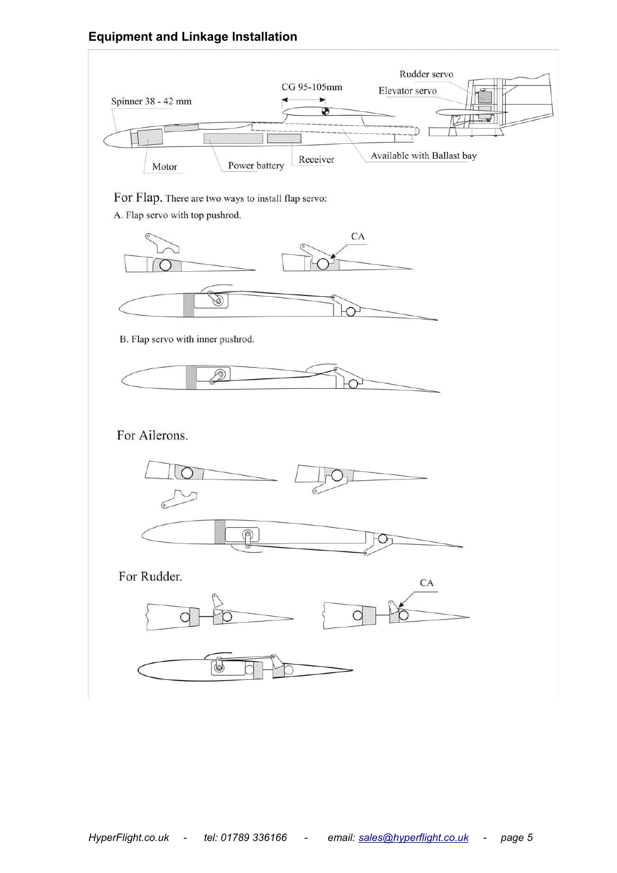## **Equipment and Linkage Installation**